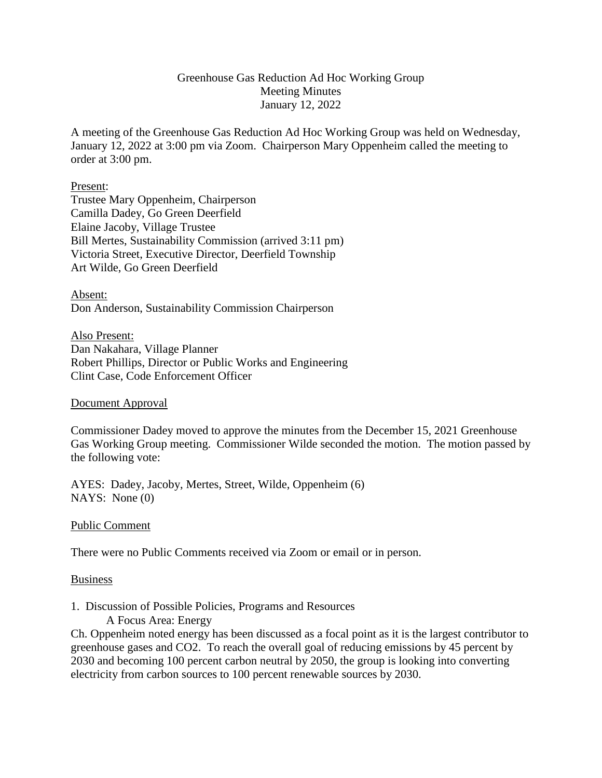### Greenhouse Gas Reduction Ad Hoc Working Group Meeting Minutes January 12, 2022

A meeting of the Greenhouse Gas Reduction Ad Hoc Working Group was held on Wednesday, January 12, 2022 at 3:00 pm via Zoom. Chairperson Mary Oppenheim called the meeting to order at 3:00 pm.

#### Present:

Trustee Mary Oppenheim, Chairperson Camilla Dadey, Go Green Deerfield Elaine Jacoby, Village Trustee Bill Mertes, Sustainability Commission (arrived 3:11 pm) Victoria Street, Executive Director, Deerfield Township Art Wilde, Go Green Deerfield

Absent: Don Anderson, Sustainability Commission Chairperson

Also Present: Dan Nakahara, Village Planner Robert Phillips, Director or Public Works and Engineering Clint Case, Code Enforcement Officer

### Document Approval

Commissioner Dadey moved to approve the minutes from the December 15, 2021 Greenhouse Gas Working Group meeting. Commissioner Wilde seconded the motion. The motion passed by the following vote:

AYES: Dadey, Jacoby, Mertes, Street, Wilde, Oppenheim (6) NAYS: None (0)

### Public Comment

There were no Public Comments received via Zoom or email or in person.

### Business

# 1. Discussion of Possible Policies, Programs and Resources

A Focus Area: Energy

Ch. Oppenheim noted energy has been discussed as a focal point as it is the largest contributor to greenhouse gases and CO2. To reach the overall goal of reducing emissions by 45 percent by 2030 and becoming 100 percent carbon neutral by 2050, the group is looking into converting electricity from carbon sources to 100 percent renewable sources by 2030.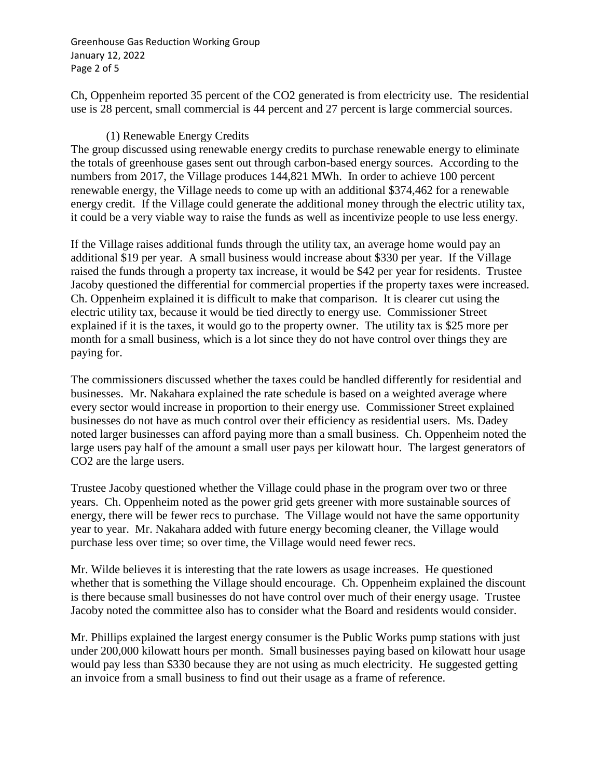Greenhouse Gas Reduction Working Group January 12, 2022 Page 2 of 5

Ch, Oppenheim reported 35 percent of the CO2 generated is from electricity use. The residential use is 28 percent, small commercial is 44 percent and 27 percent is large commercial sources.

## (1) Renewable Energy Credits

The group discussed using renewable energy credits to purchase renewable energy to eliminate the totals of greenhouse gases sent out through carbon-based energy sources. According to the numbers from 2017, the Village produces 144,821 MWh. In order to achieve 100 percent renewable energy, the Village needs to come up with an additional \$374,462 for a renewable energy credit. If the Village could generate the additional money through the electric utility tax, it could be a very viable way to raise the funds as well as incentivize people to use less energy.

If the Village raises additional funds through the utility tax, an average home would pay an additional \$19 per year. A small business would increase about \$330 per year. If the Village raised the funds through a property tax increase, it would be \$42 per year for residents. Trustee Jacoby questioned the differential for commercial properties if the property taxes were increased. Ch. Oppenheim explained it is difficult to make that comparison. It is clearer cut using the electric utility tax, because it would be tied directly to energy use. Commissioner Street explained if it is the taxes, it would go to the property owner. The utility tax is \$25 more per month for a small business, which is a lot since they do not have control over things they are paying for.

The commissioners discussed whether the taxes could be handled differently for residential and businesses. Mr. Nakahara explained the rate schedule is based on a weighted average where every sector would increase in proportion to their energy use. Commissioner Street explained businesses do not have as much control over their efficiency as residential users. Ms. Dadey noted larger businesses can afford paying more than a small business. Ch. Oppenheim noted the large users pay half of the amount a small user pays per kilowatt hour. The largest generators of CO2 are the large users.

Trustee Jacoby questioned whether the Village could phase in the program over two or three years. Ch. Oppenheim noted as the power grid gets greener with more sustainable sources of energy, there will be fewer recs to purchase. The Village would not have the same opportunity year to year. Mr. Nakahara added with future energy becoming cleaner, the Village would purchase less over time; so over time, the Village would need fewer recs.

Mr. Wilde believes it is interesting that the rate lowers as usage increases. He questioned whether that is something the Village should encourage. Ch. Oppenheim explained the discount is there because small businesses do not have control over much of their energy usage. Trustee Jacoby noted the committee also has to consider what the Board and residents would consider.

Mr. Phillips explained the largest energy consumer is the Public Works pump stations with just under 200,000 kilowatt hours per month. Small businesses paying based on kilowatt hour usage would pay less than \$330 because they are not using as much electricity. He suggested getting an invoice from a small business to find out their usage as a frame of reference.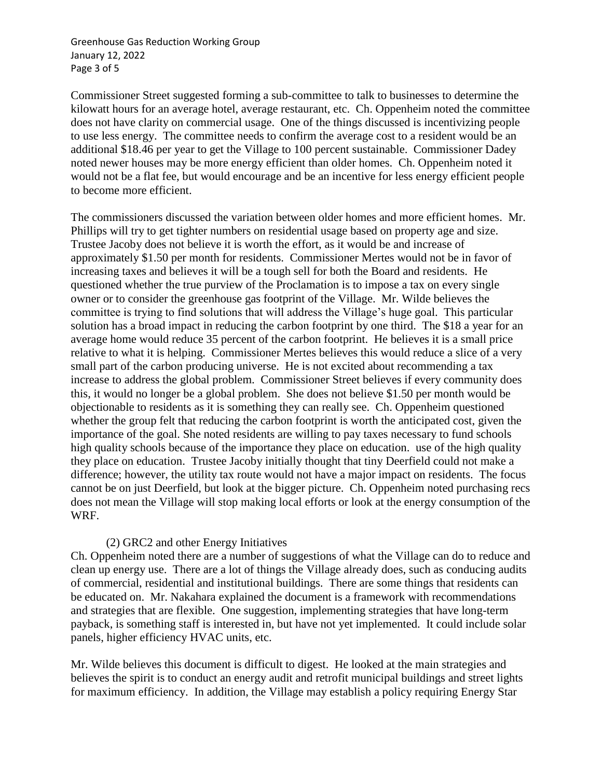Greenhouse Gas Reduction Working Group January 12, 2022 Page 3 of 5

Commissioner Street suggested forming a sub-committee to talk to businesses to determine the kilowatt hours for an average hotel, average restaurant, etc. Ch. Oppenheim noted the committee does not have clarity on commercial usage. One of the things discussed is incentivizing people to use less energy. The committee needs to confirm the average cost to a resident would be an additional \$18.46 per year to get the Village to 100 percent sustainable. Commissioner Dadey noted newer houses may be more energy efficient than older homes. Ch. Oppenheim noted it would not be a flat fee, but would encourage and be an incentive for less energy efficient people to become more efficient.

The commissioners discussed the variation between older homes and more efficient homes. Mr. Phillips will try to get tighter numbers on residential usage based on property age and size. Trustee Jacoby does not believe it is worth the effort, as it would be and increase of approximately \$1.50 per month for residents. Commissioner Mertes would not be in favor of increasing taxes and believes it will be a tough sell for both the Board and residents. He questioned whether the true purview of the Proclamation is to impose a tax on every single owner or to consider the greenhouse gas footprint of the Village. Mr. Wilde believes the committee is trying to find solutions that will address the Village's huge goal. This particular solution has a broad impact in reducing the carbon footprint by one third. The \$18 a year for an average home would reduce 35 percent of the carbon footprint. He believes it is a small price relative to what it is helping. Commissioner Mertes believes this would reduce a slice of a very small part of the carbon producing universe. He is not excited about recommending a tax increase to address the global problem. Commissioner Street believes if every community does this, it would no longer be a global problem. She does not believe \$1.50 per month would be objectionable to residents as it is something they can really see. Ch. Oppenheim questioned whether the group felt that reducing the carbon footprint is worth the anticipated cost, given the importance of the goal. She noted residents are willing to pay taxes necessary to fund schools high quality schools because of the importance they place on education. use of the high quality they place on education. Trustee Jacoby initially thought that tiny Deerfield could not make a difference; however, the utility tax route would not have a major impact on residents. The focus cannot be on just Deerfield, but look at the bigger picture. Ch. Oppenheim noted purchasing recs does not mean the Village will stop making local efforts or look at the energy consumption of the WRF.

### (2) GRC2 and other Energy Initiatives

Ch. Oppenheim noted there are a number of suggestions of what the Village can do to reduce and clean up energy use. There are a lot of things the Village already does, such as conducing audits of commercial, residential and institutional buildings. There are some things that residents can be educated on. Mr. Nakahara explained the document is a framework with recommendations and strategies that are flexible. One suggestion, implementing strategies that have long-term payback, is something staff is interested in, but have not yet implemented. It could include solar panels, higher efficiency HVAC units, etc.

Mr. Wilde believes this document is difficult to digest. He looked at the main strategies and believes the spirit is to conduct an energy audit and retrofit municipal buildings and street lights for maximum efficiency. In addition, the Village may establish a policy requiring Energy Star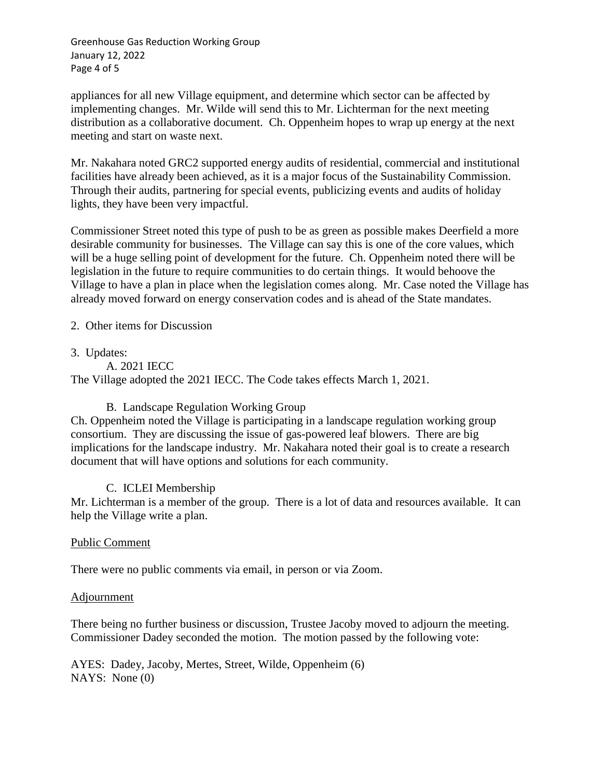Greenhouse Gas Reduction Working Group January 12, 2022 Page 4 of 5

appliances for all new Village equipment, and determine which sector can be affected by implementing changes. Mr. Wilde will send this to Mr. Lichterman for the next meeting distribution as a collaborative document. Ch. Oppenheim hopes to wrap up energy at the next meeting and start on waste next.

Mr. Nakahara noted GRC2 supported energy audits of residential, commercial and institutional facilities have already been achieved, as it is a major focus of the Sustainability Commission. Through their audits, partnering for special events, publicizing events and audits of holiday lights, they have been very impactful.

Commissioner Street noted this type of push to be as green as possible makes Deerfield a more desirable community for businesses. The Village can say this is one of the core values, which will be a huge selling point of development for the future. Ch. Oppenheim noted there will be legislation in the future to require communities to do certain things. It would behoove the Village to have a plan in place when the legislation comes along. Mr. Case noted the Village has already moved forward on energy conservation codes and is ahead of the State mandates.

2. Other items for Discussion

3. Updates:

A. 2021 IECC

The Village adopted the 2021 IECC. The Code takes effects March 1, 2021.

### B. Landscape Regulation Working Group

Ch. Oppenheim noted the Village is participating in a landscape regulation working group consortium. They are discussing the issue of gas-powered leaf blowers. There are big implications for the landscape industry. Mr. Nakahara noted their goal is to create a research document that will have options and solutions for each community.

# C. ICLEI Membership

Mr. Lichterman is a member of the group. There is a lot of data and resources available. It can help the Village write a plan.

### Public Comment

There were no public comments via email, in person or via Zoom.

### Adjournment

There being no further business or discussion, Trustee Jacoby moved to adjourn the meeting. Commissioner Dadey seconded the motion. The motion passed by the following vote:

AYES: Dadey, Jacoby, Mertes, Street, Wilde, Oppenheim (6) NAYS: None (0)